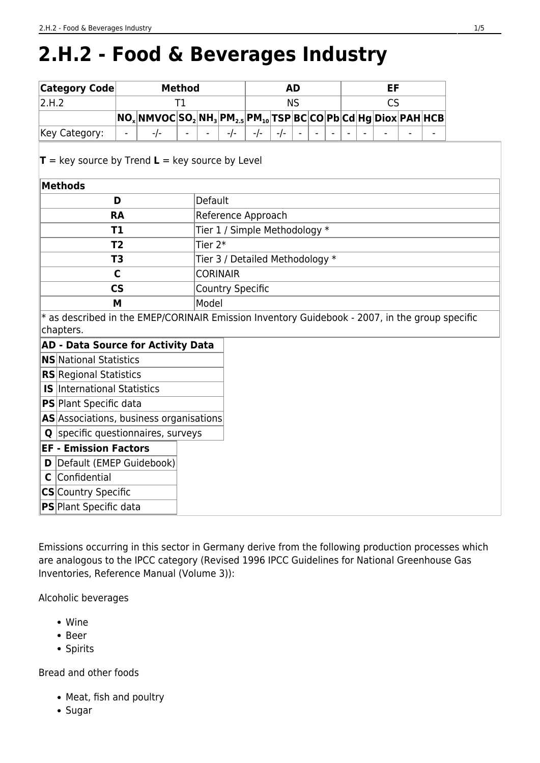# **2.H.2 - Food & Beverages Industry**

| <b>Category Code</b>                                                                                        |                          | <b>Method</b> | <b>AD</b> |                                 |                               |                                                                                                                               |       |           |  |  |  |  |           |  |  |  |
|-------------------------------------------------------------------------------------------------------------|--------------------------|---------------|-----------|---------------------------------|-------------------------------|-------------------------------------------------------------------------------------------------------------------------------|-------|-----------|--|--|--|--|-----------|--|--|--|
| 2.H.2                                                                                                       |                          |               | T1        |                                 |                               |                                                                                                                               |       | <b>NS</b> |  |  |  |  | <b>CS</b> |  |  |  |
|                                                                                                             |                          |               |           |                                 |                               | NO <sub>x</sub>  NMVOC SO <sub>2</sub>  NH <sub>3</sub>  PM <sub>2.5</sub>  PM <sub>10</sub>  TSP BC CO Pb Cd Hg Diox PAH HCB |       |           |  |  |  |  |           |  |  |  |
| Key Category:                                                                                               |                          | $-/-$         |           |                                 | $-/-$                         | $-/-$                                                                                                                         | $-/-$ |           |  |  |  |  |           |  |  |  |
| $T = \text{key source by Trend } L = \text{key source by Level}$                                            |                          |               |           |                                 |                               |                                                                                                                               |       |           |  |  |  |  |           |  |  |  |
| <b>Methods</b>                                                                                              |                          |               |           |                                 |                               |                                                                                                                               |       |           |  |  |  |  |           |  |  |  |
|                                                                                                             | D                        |               |           | Default                         |                               |                                                                                                                               |       |           |  |  |  |  |           |  |  |  |
|                                                                                                             | <b>RA</b>                |               |           |                                 | Reference Approach            |                                                                                                                               |       |           |  |  |  |  |           |  |  |  |
|                                                                                                             | T1                       |               |           |                                 | Tier 1 / Simple Methodology * |                                                                                                                               |       |           |  |  |  |  |           |  |  |  |
|                                                                                                             | T <sub>2</sub>           |               |           | Tier $2*$                       |                               |                                                                                                                               |       |           |  |  |  |  |           |  |  |  |
|                                                                                                             | T <sub>3</sub>           |               |           | Tier 3 / Detailed Methodology * |                               |                                                                                                                               |       |           |  |  |  |  |           |  |  |  |
|                                                                                                             | C                        |               |           |                                 | <b>CORINAIR</b>               |                                                                                                                               |       |           |  |  |  |  |           |  |  |  |
|                                                                                                             | $\mathsf{CS}\phantom{0}$ |               |           |                                 | <b>Country Specific</b>       |                                                                                                                               |       |           |  |  |  |  |           |  |  |  |
|                                                                                                             | M                        |               |           | Model                           |                               |                                                                                                                               |       |           |  |  |  |  |           |  |  |  |
| * as described in the EMEP/CORINAIR Emission Inventory Guidebook - 2007, in the group specific<br>chapters. |                          |               |           |                                 |                               |                                                                                                                               |       |           |  |  |  |  |           |  |  |  |
| <b>AD - Data Source for Activity Data</b>                                                                   |                          |               |           |                                 |                               |                                                                                                                               |       |           |  |  |  |  |           |  |  |  |
| <b>NS</b> National Statistics                                                                               |                          |               |           |                                 |                               |                                                                                                                               |       |           |  |  |  |  |           |  |  |  |
| <b>RS</b> Regional Statistics                                                                               |                          |               |           |                                 |                               |                                                                                                                               |       |           |  |  |  |  |           |  |  |  |
| <b>IS</b> International Statistics                                                                          |                          |               |           |                                 |                               |                                                                                                                               |       |           |  |  |  |  |           |  |  |  |
| <b>PS</b> Plant Specific data                                                                               |                          |               |           |                                 |                               |                                                                                                                               |       |           |  |  |  |  |           |  |  |  |
| AS Associations, business organisations                                                                     |                          |               |           |                                 |                               |                                                                                                                               |       |           |  |  |  |  |           |  |  |  |
| <b>Q</b> specific questionnaires, surveys                                                                   |                          |               |           |                                 |                               |                                                                                                                               |       |           |  |  |  |  |           |  |  |  |
| <b>EF - Emission Factors</b>                                                                                |                          |               |           |                                 |                               |                                                                                                                               |       |           |  |  |  |  |           |  |  |  |
| Default (EMEP Guidebook)<br>D                                                                               |                          |               |           |                                 |                               |                                                                                                                               |       |           |  |  |  |  |           |  |  |  |
| Confidential<br>C                                                                                           |                          |               |           |                                 |                               |                                                                                                                               |       |           |  |  |  |  |           |  |  |  |
| <b>CS</b> Country Specific                                                                                  |                          |               |           |                                 |                               |                                                                                                                               |       |           |  |  |  |  |           |  |  |  |
| <b>PS</b> Plant Specific data                                                                               |                          |               |           |                                 |                               |                                                                                                                               |       |           |  |  |  |  |           |  |  |  |

Emissions occurring in this sector in Germany derive from the following production processes which are analogous to the IPCC category (Revised 1996 IPCC Guidelines for National Greenhouse Gas Inventories, Reference Manual (Volume 3)):

Alcoholic beverages

- Wine
- Beer
- Spirits

Bread and other foods

- Meat, fish and poultry
- Sugar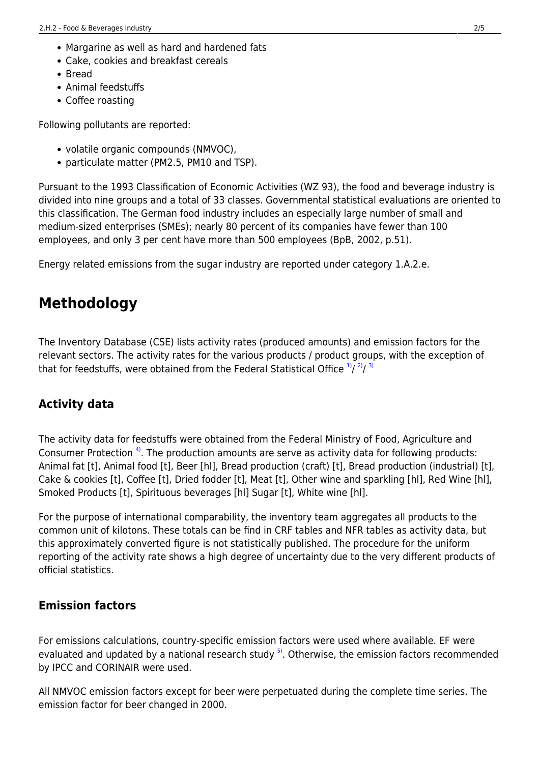- Margarine as well as hard and hardened fats
- Cake, cookies and breakfast cereals
- Bread
- Animal feedstuffs
- Coffee roasting

Following pollutants are reported:

- volatile organic compounds (NMVOC),
- particulate matter (PM2.5, PM10 and TSP).

Pursuant to the 1993 Classification of Economic Activities (WZ 93), the food and beverage industry is divided into nine groups and a total of 33 classes. Governmental statistical evaluations are oriented to this classification. The German food industry includes an especially large number of small and medium-sized enterprises (SMEs); nearly 80 percent of its companies have fewer than 100 employees, and only 3 per cent have more than 500 employees (BpB, 2002, p.51).

Energy related emissions from the sugar industry are reported under category 1.A.2.e.

### **Methodology**

<span id="page-1-0"></span>The Inventory Database (CSE) lists activity rates (produced amounts) and emission factors for the relevant sectors. The activity rates for the various products / product groups, with the exception of that for feedstuffs, were obtained from the Federal Statistical Office  $\frac{1}{2}$ / $\frac{2}{3}$ 

#### **Activity data**

<span id="page-1-1"></span>The activity data for feedstuffs were obtained from the Federal Ministry of Food, Agriculture and Consumer Protection [4\)](#page-4-3). The production amounts are serve as activity data for following products: Animal fat [t], Animal food [t], Beer [hl], Bread production (craft) [t], Bread production (industrial) [t], Cake & cookies [t], Coffee [t], Dried fodder [t], Meat [t], Other wine and sparkling [hl], Red Wine [hl], Smoked Products [t], Spirituous beverages [hl] Sugar [t], White wine [hl].

For the purpose of international comparability, the inventory team aggregates all products to the common unit of kilotons. These totals can be find in CRF tables and NFR tables as activity data, but this approximately converted figure is not statistically published. The procedure for the uniform reporting of the activity rate shows a high degree of uncertainty due to the very different products of official statistics.

#### **Emission factors**

<span id="page-1-2"></span>For emissions calculations, country-specific emission factors were used where available. EF were evaluated and updated by a national research study  $5$ . Otherwise, the emission factors recommended by IPCC and CORINAIR were used.

All NMVOC emission factors except for beer were perpetuated during the complete time series. The emission factor for beer changed in 2000.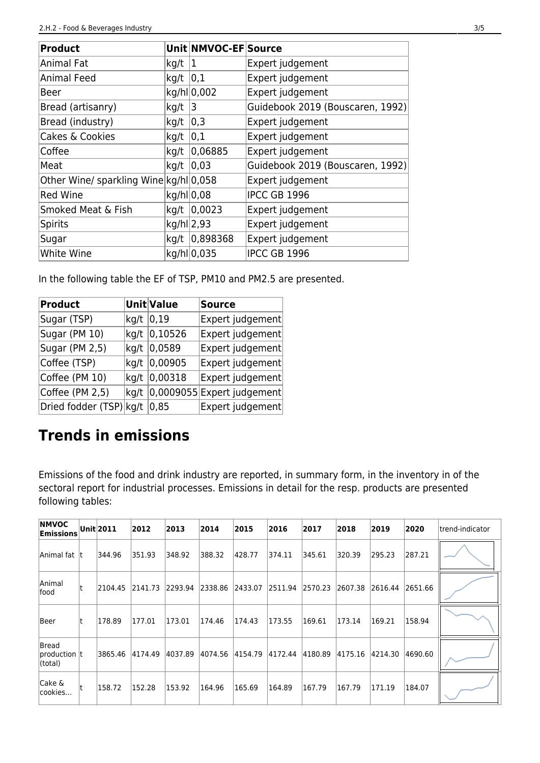| <b>Product</b>                         |            | Unit NMVOC-EF Source |                                  |
|----------------------------------------|------------|----------------------|----------------------------------|
| Animal Fat                             | kg/t       | 1                    | Expert judgement                 |
| <b>Animal Feed</b>                     | kg/t       | 0,1                  | Expert judgement                 |
| Beer                                   |            | kg/hl 0,002          | Expert judgement                 |
| Bread (artisanry)                      | kg/t       | 3                    | Guidebook 2019 (Bouscaren, 1992) |
| Bread (industry)                       | kg/t       | $ 0,3\rangle$        | Expert judgement                 |
| Cakes & Cookies                        | kg/t       | 0,1                  | Expert judgement                 |
| Coffee                                 | kg/t       | 0,06885              | Expert judgement                 |
| Meat                                   | kg/t       | 0,03                 | Guidebook 2019 (Bouscaren, 1992) |
| Other Wine/ sparkling Wine kg/hl 0,058 |            |                      | Expert judgement                 |
| <b>Red Wine</b>                        | kg/hl 0,08 |                      | <b>IPCC GB 1996</b>              |
| Smoked Meat & Fish                     | kg/t       | 0,0023               | Expert judgement                 |
| <b>Spirits</b>                         | kg/hl 2,93 |                      | Expert judgement                 |
| Sugar                                  | kg/t       | 0,898368             | Expert judgement                 |
| White Wine                             |            | kg/hl 0,035          | <b>IPCC GB 1996</b>              |

In the following table the EF of TSP, PM10 and PM2.5 are presented.

| <b>Product</b>          |      | Unit Value | <b>Source</b>              |
|-------------------------|------|------------|----------------------------|
| Sugar (TSP)             | kg/t | 0,19       | Expert judgement           |
| Sugar (PM 10)           | kg/t | 0,10526    | Expert judgement           |
| Sugar (PM 2,5)          | kg/t | 0,0589     | Expert judgement           |
| Coffee (TSP)            | kg/t | 0,00905    | Expert judgement           |
| Coffee (PM 10)          | kg/t | 0,00318    | Expert judgement           |
| Coffee (PM 2,5)         | kg/t |            | 0,0009055 Expert judgement |
| Dried fodder (TSP) kg/t |      | 0,85       | Expert judgement           |

# **Trends in emissions**

Emissions of the food and drink industry are reported, in summary form, in the inventory in of the sectoral report for industrial processes. Emissions in detail for the resp. products are presented following tables:

| <b>INMVOC</b><br><b>Emissions</b> | Unit 2011 | 2012    | 2013    | 2014    | 2015    | 2016    | 2017    | 2018    | 2019    | 2020    | ltrend-indicator |
|-----------------------------------|-----------|---------|---------|---------|---------|---------|---------|---------|---------|---------|------------------|
| Animal fat  t                     | 344.96    | 351.93  | 348.92  | 388.32  | 428.77  | 374.11  | 345.61  | 320.39  | 295.23  | 287.21  |                  |
| Animal<br>lfood                   | 2104.45   | 2141.73 | 2293.94 | 2338.86 | 2433.07 | 2511.94 | 2570.23 | 2607.38 | 2616.44 | 2651.66 |                  |
| Beer                              | 178.89    | 177.01  | 173.01  | 174.46  | 174.43  | 173.55  | 169.61  | 173.14  | 169.21  | 158.94  |                  |
| Bread<br> production t<br>(total) | 3865.46   | 4174.49 | 4037.89 | 4074.56 | 4154.79 | 4172.44 | 4180.89 | 4175.16 | 4214.30 | 4690.60 |                  |
| Cake &<br> cookies                | 158.72    | 152.28  | 153.92  | 164.96  | 165.69  | 164.89  | 167.79  | 167.79  | 171.19  | 184.07  |                  |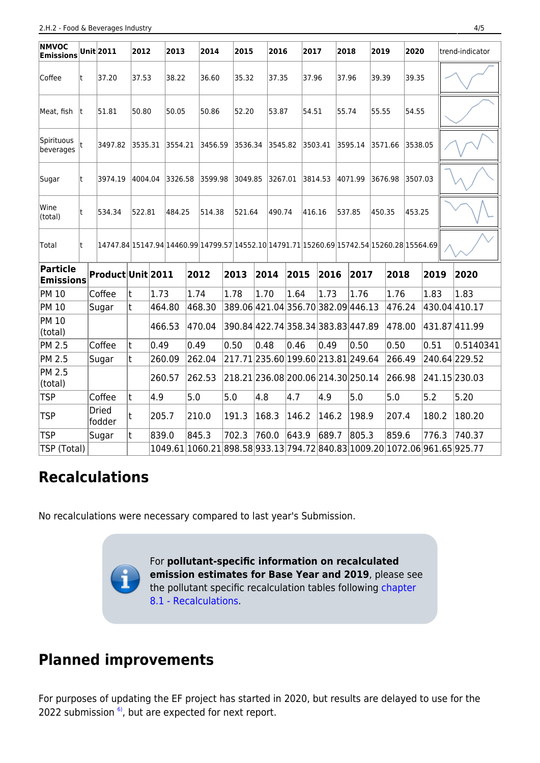| <b>NMVOC</b><br><b>Emissions</b>    |    | Unit 2011              | 2012    |        | 2013    |         | 2014    | 2015                                                                                      |        | 2016    |                                    |         | 2017                               | 2018    |                                    | 2019                               |         |         | 2020    |         |               | trend-indicator                                                           |
|-------------------------------------|----|------------------------|---------|--------|---------|---------|---------|-------------------------------------------------------------------------------------------|--------|---------|------------------------------------|---------|------------------------------------|---------|------------------------------------|------------------------------------|---------|---------|---------|---------|---------------|---------------------------------------------------------------------------|
| Coffee                              | t  | 37.20                  | 37.53   |        | 38.22   |         | 36.60   |                                                                                           | 35.32  |         | 37.35                              |         | 37.96                              |         | 37.96                              |                                    |         | 39.39   |         | 39.35   |               |                                                                           |
| Meat, fish                          | It | 51.81                  | 50.80   |        | 50.05   |         | 50.86   | 52.20                                                                                     |        | 53.87   |                                    |         | 54.51                              |         |                                    | 55.74<br>55.55                     |         |         | 54.55   |         |               |                                                                           |
| Spirituous<br>beverages             |    | 3497.82                | 3535.31 |        |         | 3554.21 |         | 3456.59                                                                                   |        | 3536.34 |                                    | 3545.82 |                                    | 3503.41 | 3595.14                            |                                    | 3571.66 |         | 3538.05 |         |               |                                                                           |
| Sugar                               | t  | 3974.19                | 4004.04 |        | 3326.58 |         | 3599.98 | 3049.85                                                                                   |        | 3267.01 |                                    |         | 3814.53                            |         | 4071.99                            |                                    |         | 3676.98 |         | 3507.03 |               |                                                                           |
| Wine<br>(total)                     | t  | 534.34                 | 522.81  |        | 484.25  |         | 514.38  |                                                                                           | 521.64 |         | 490.74                             |         | 416.16                             |         | 537.85                             |                                    | 450.35  |         | 453.25  |         |               |                                                                           |
| Total                               | t  |                        |         |        |         |         |         | 14747.84 15147.94 14460.99 14799.57 14552.10 14791.71 15260.69 15742.54 15260.28 15564.69 |        |         |                                    |         |                                    |         |                                    |                                    |         |         |         |         |               |                                                                           |
| <b>Particle</b><br><b>Emissions</b> |    | Product Unit 2011      |         |        |         |         | 2012    |                                                                                           | 2013   |         | 2014                               | 2015    |                                    | 2016    |                                    | 2017                               |         | 2018    |         | 2019    |               | 2020                                                                      |
| <b>PM 10</b>                        |    | Coffee                 | t       | 1.73   |         | 1.74    |         | 1.78                                                                                      |        | 1.70    |                                    | 1.64    | 1.73                               |         | 1.76                               |                                    | 1.76    |         | 1.83    |         |               | 1.83                                                                      |
| <b>PM 10</b>                        |    | Sugar                  | t       |        | 464.80  |         | 468.30  |                                                                                           |        |         |                                    |         |                                    |         | 389.06 421.04 356.70 382.09 446.13 |                                    |         |         | 476.24  |         | 430.04 410.17 |                                                                           |
| <b>PM 10</b><br>(total)             |    |                        |         | 466.53 |         |         | 470.04  |                                                                                           |        |         |                                    |         |                                    |         |                                    | 390.84 422.74 358.34 383.83 447.89 |         | 478.00  |         |         |               | 431.87 411.99                                                             |
| <b>PM 2.5</b>                       |    | Coffee                 | t       | 0.49   |         | 0.49    |         | 0.50                                                                                      |        | 0.48    |                                    |         | 0.46<br>0.49                       |         | 0.50                               |                                    | 0.50    |         |         |         | 0.51          | 0.5140341                                                                 |
| <b>PM 2.5</b>                       |    | Sugar                  | t       |        | 260.09  |         | 262.04  |                                                                                           |        |         |                                    |         | 217.71 235.60 199.60 213.81 249.64 |         |                                    |                                    |         | 266.49  |         |         |               | 240.64 229.52                                                             |
| <b>PM 2.5</b><br>(total)            |    |                        |         | 260.57 |         |         | 262.53  |                                                                                           |        |         | 218.21 236.08 200.06 214.30 250.14 |         |                                    |         |                                    |                                    |         | 266.98  |         |         |               | 241.15 230.03                                                             |
| <b>TSP</b>                          |    | Coffee                 | t       | 4.9    |         | 5.0     | 5.0     |                                                                                           | 4.8    |         |                                    | 4.7     | 4.9                                |         | 5.0                                |                                    | 5.0     |         | 5.2     |         |               | 5.20                                                                      |
| <b>TSP</b>                          |    | <b>Dried</b><br>fodder | t       | 205.7  |         |         | 210.0   |                                                                                           | 191.3  |         | 168.3<br> 146.2                    |         | 146.2                              |         | 198.9                              |                                    | 207.4   |         | 180.2   |         |               | 180.20                                                                    |
| <b>TSP</b>                          |    | Sugar                  | t       | 839.0  |         | 845.3   |         |                                                                                           | 702.3  | 760.0   |                                    | 643.9   | 689.7                              |         |                                    | 805.3                              |         | 859.6   |         | 776.3   |               | 740.37                                                                    |
| TSP (Total)                         |    |                        |         |        |         |         |         |                                                                                           |        |         |                                    |         |                                    |         |                                    |                                    |         |         |         |         |               | 1049.61 1060.21 898.58 933.13 794.72 840.83 1009.20 1072.06 961.65 925.77 |

# **Recalculations**

No recalculations were necessary compared to last year's Submission.

For **pollutant-specific information on recalculated emission estimates for Base Year and 2019**, please see the pollutant specific recalculation tables following [chapter](https://iir.umweltbundesamt.de/2022/general/recalculations/start) [8.1 - Recalculations.](https://iir.umweltbundesamt.de/2022/general/recalculations/start)

## **Planned improvements**

<span id="page-3-0"></span>For purposes of updating the EF project has started in 2020, but results are delayed to use for the 2022 submission  $6$ , but are expected for next report.